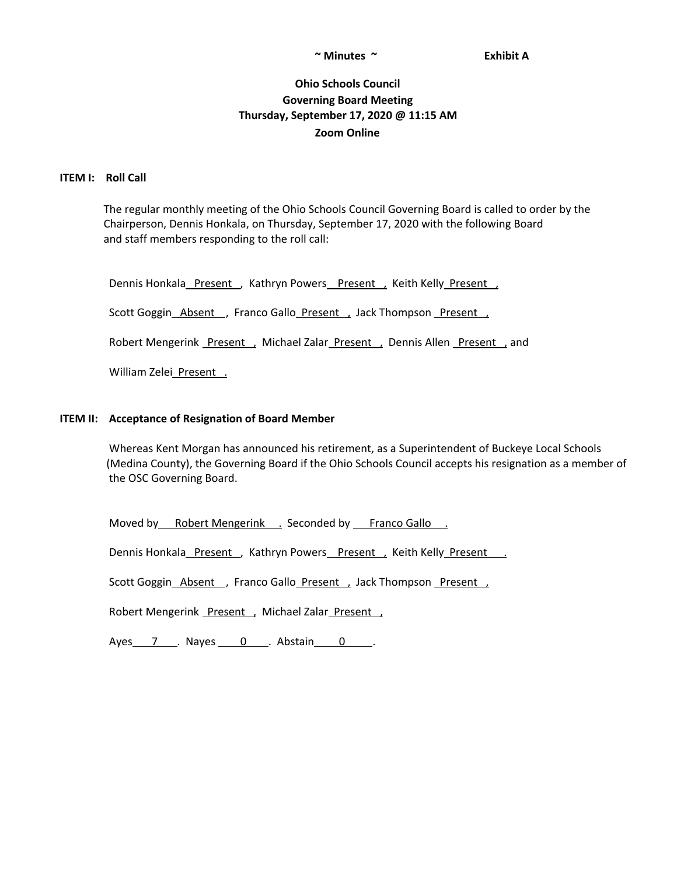#### **~ Minutes ~ Exhibit A**

# **Ohio Schools Council Governing Board Meeting Thursday, September 17, 2020 @ 11:15 AM Zoom Online**

#### **ITEM I: Roll Call**

The regular monthly meeting of the Ohio Schools Council Governing Board is called to order by the Chairperson, Dennis Honkala, on Thursday, September 17, 2020 with the following Board and staff members responding to the roll call:

Dennis Honkala\_Present\_, Kathryn Powers\_Present\_, Keith Kelly\_Present\_,

Scott Goggin\_Absent\_, Franco Gallo\_Present\_, Jack Thompson\_Present\_,

Robert Mengerink Present , Michael Zalar Present , Dennis Allen Present , and

William Zelei Present .

### **ITEM II: Acceptance of Resignation of Board Member**

Whereas Kent Morgan has announced his retirement, as a Superintendent of Buckeye Local Schools (Medina County), the Governing Board if the Ohio Schools Council accepts his resignation as a member of the OSC Governing Board.

Moved by Robert Mengerink . Seconded by Franco Gallo .

Dennis Honkala\_Present , Kathryn Powers\_Present , Keith Kelly\_Present .

Scott Goggin\_Absent\_, Franco Gallo\_Present\_, Jack Thompson\_Present\_,

Robert Mengerink Present , Michael Zalar Present ,

Ayes 7 . Nayes 0 . Abstain 0 .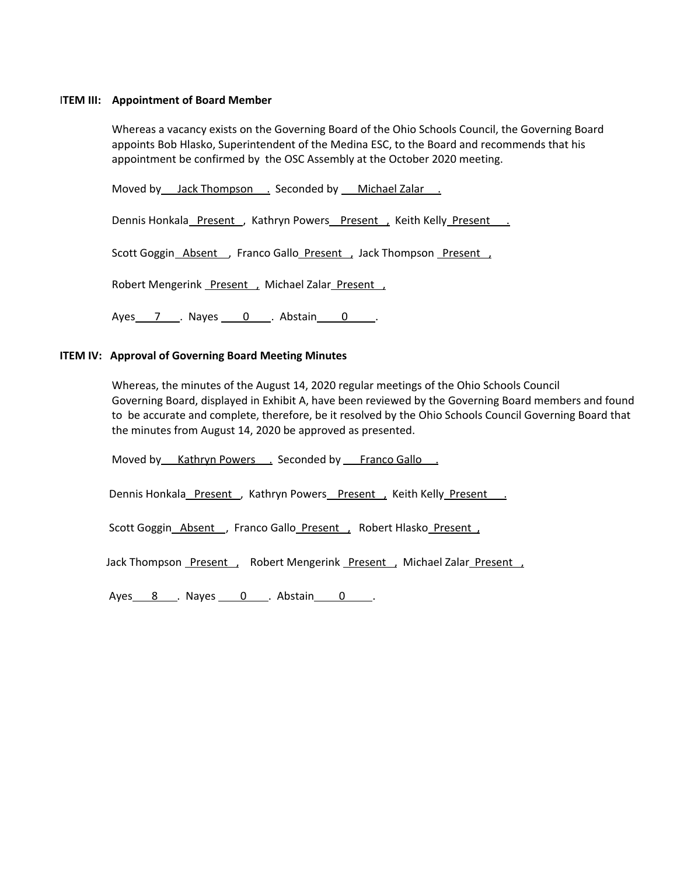## I**TEM III: Appointment of Board Member**

Whereas a vacancy exists on the Governing Board of the Ohio Schools Council, the Governing Board appoints Bob Hlasko, Superintendent of the Medina ESC, to the Board and recommends that his appointment be confirmed by the OSC Assembly at the October 2020 meeting.

Moved by Jack Thompson . Seconded by Michael Zalar .

Dennis Honkala Present , Kathryn Powers Present , Keith Kelly Present .

Scott Goggin Absent , Franco Gallo Present , Jack Thompson Present ,

Robert Mengerink Present , Michael Zalar Present ,

Ayes 7 . Nayes 0 . Abstain 0 .

## **ITEM IV: Approval of Governing Board Meeting Minutes**

Whereas, the minutes of the August 14, 2020 regular meetings of the Ohio Schools Council Governing Board, displayed in Exhibit A, have been reviewed by the Governing Board members and found to be accurate and complete, therefore, be it resolved by the Ohio Schools Council Governing Board that the minutes from August 14, 2020 be approved as presented.

Moved by Kathryn Powers . Seconded by Franco Gallo .

Dennis Honkala Present, Kathryn Powers Present, Keith Kelly Present.

Scott Goggin\_Absent\_, Franco Gallo\_Present\_, Robert Hlasko\_Present\_,

Jack Thompson Present , Robert Mengerink Present , Michael Zalar Present ,

Ayes 8 . Nayes 0 . Abstain 0 .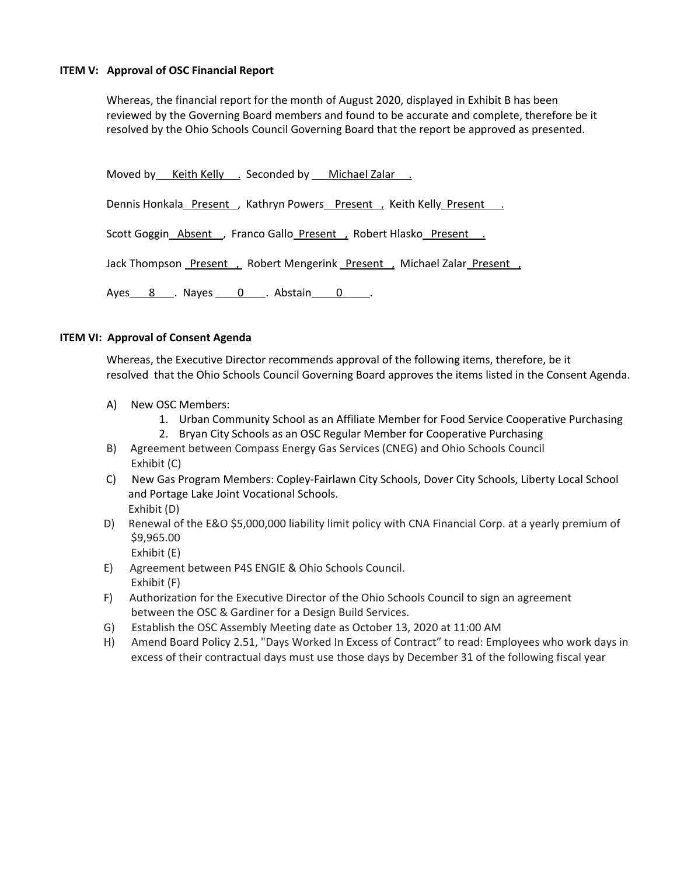## **ITEM V: Approval of OSC Financial Report**

Whereas, the financial report for the month of August 2020, displayed in Exhibit B has been reviewed by the Governing Board members and found to be accurate and complete, therefore be it resolved by the Ohio Schools Council Governing Board that the report be approved as presented.

Moved by Keith Kelly . Seconded by Michael Zalar .

Dennis Honkala Present , Kathryn Powers Present , Keith Kelly Present ...

Scott Goggin\_Absent \_, Franco Gallo\_Present , Robert Hlasko\_Present \_\_

Jack Thompson Present , Robert Mengerink Present , Michael Zalar Present ,

Ayes 8 . Nayes 0 . Abstain 0 .

## **ITEM VI: Approval of Consent Agenda**

Whereas, the Executive Director recommends approval of the following items, therefore, be it resolved that the Ohio Schools Council Governing Board approves the items listed in the Consent Agenda.

- A) New OSC Members:
	- 1. Urban Community School as an Affiliate Member for Food Service Cooperative Purchasing
	- 2. Bryan City Schools as an OSC Regular Member for Cooperative Purchasing
- B) Agreement between Compass Energy Gas Services (CNEG) and Ohio Schools Council Exhibit (C)
- C) New Gas Program Members: Copley-Fairlawn City Schools, Dover City Schools, Liberty Local School and Portage Lake Joint Vocational Schools. Exhibit (D)
- D) Renewal of the E&O \$5,000,000 liability limit policy with CNA Financial Corp. at a yearly premium of \$9,965.00 Exhibit (E)
- E) Agreement between P4S ENGIE & Ohio Schools Council. Exhibit (F)
- F) Authorization for the Executive Director of the Ohio Schools Council to sign an agreement between the OSC & Gardiner for a Design Build Services.
- G) Establish the OSC Assembly Meeting date as October 13, 2020 at 11:00 AM
- H) Amend Board Policy 2.51, "Days Worked In Excess of Contract" to read: Employees who work days in excess of their contractual days must use those days by December 31 of the following fiscal year